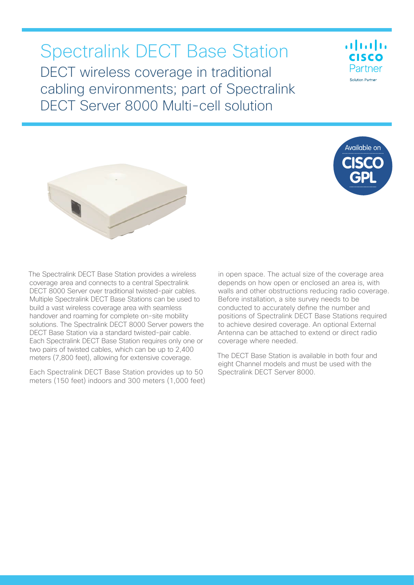# Spectralink DECT Base Station

DECT wireless coverage in traditional cabling environments; part of Spectralink DECT Server 8000 Multi-cell solution





Available on

The Spectralink DECT Base Station provides a wireless coverage area and connects to a central Spectralink DECT 8000 Server over traditional twisted-pair cables. Multiple Spectralink DECT Base Stations can be used to build a vast wireless coverage area with seamless handover and roaming for complete on-site mobility solutions. The Spectralink DECT 8000 Server powers the DECT Base Station via a standard twisted-pair cable. Each Spectralink DECT Base Station requires only one or two pairs of twisted cables, which can be up to 2,400 meters (7,800 feet), allowing for extensive coverage.

Each Spectralink DECT Base Station provides up to 50 meters (150 feet) indoors and 300 meters (1,000 feet)

in open space. The actual size of the coverage area depends on how open or enclosed an area is, with walls and other obstructions reducing radio coverage. Before installation, a site survey needs to be conducted to accurately define the number and positions of Spectralink DECT Base Stations required to achieve desired coverage. An optional External Antenna can be attached to extend or direct radio coverage where needed.

The DECT Base Station is available in both four and eight Channel models and must be used with the Spectralink DECT Server 8000.